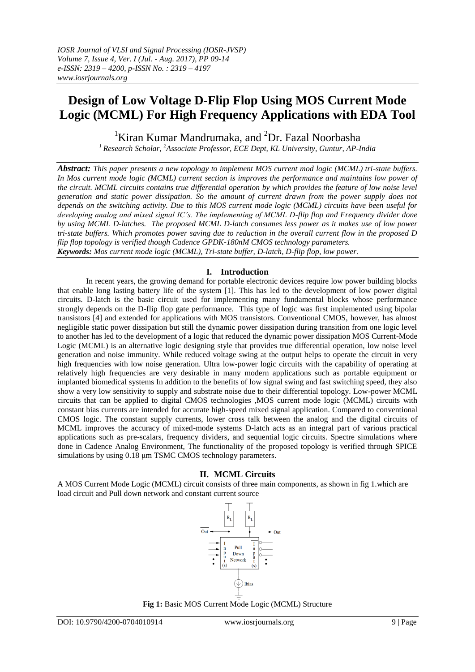# **Design of Low Voltage D-Flip Flop Using MOS Current Mode Logic (MCML) For High Frequency Applications with EDA Tool**

<sup>1</sup>Kiran Kumar Mandrumaka, and <sup>2</sup>Dr. Fazal Noorbasha

*<sup>1</sup>Research Scholar, <sup>2</sup>Associate Professor, ECE Dept, KL University, Guntur, AP-India*

*Abstract: This paper presents a new topology to implement MOS current mod logic (MCML) tri-state buffers. In Mos current mode logic (MCML) current section is improves the performance and maintains low power of the circuit. MCML circuits contains true differential operation by which provides the feature of low noise level generation and static power dissipation. So the amount of current drawn from the power supply does not depends on the switching activity. Due to this MOS current mode logic (MCML) circuits have been useful for developing analog and mixed signal IC's. The implementing of MCML D-flip flop and Frequency divider done by using MCML D-latches. The proposed MCML D-latch consumes less power as it makes use of low power tri-state buffers. Which promotes power saving due to reduction in the overall current flow in the proposed D flip flop topology is verified though Cadence GPDK-180nM CMOS technology parameters. Keywords: Mos current mode logic (MCML), Tri-state buffer, D-latch, D-flip flop, low power.*

# **I. Introduction**

In recent years, the growing demand for portable electronic devices require low power building blocks that enable long lasting battery life of the system [1]. This has led to the development of low power digital circuits. D-latch is the basic circuit used for implementing many fundamental blocks whose performance strongly depends on the D-flip flop gate performance. This type of logic was first implemented using bipolar transistors [4] and extended for applications with MOS transistors. Conventional CMOS, however, has almost negligible static power dissipation but still the dynamic power dissipation during transition from one logic level to another has led to the development of a logic that reduced the dynamic power dissipation MOS Current-Mode Logic (MCML) is an alternative logic designing style that provides true differential operation, low noise level generation and noise immunity. While reduced voltage swing at the output helps to operate the circuit in very high frequencies with low noise generation. Ultra low-power logic circuits with the capability of operating at relatively high frequencies are very desirable in many modern applications such as portable equipment or implanted biomedical systems In addition to the benefits of low signal swing and fast switching speed, they also show a very low sensitivity to supply and substrate noise due to their differential topology. Low-power MCML circuits that can be applied to digital CMOS technologies ,MOS current mode logic (MCML) circuits with constant bias currents are intended for accurate high-speed mixed signal application. Compared to conventional CMOS logic. The constant supply currents, lower cross talk between the analog and the digital circuits of MCML improves the accuracy of mixed-mode systems D-latch acts as an integral part of various practical applications such as pre-scalars, frequency dividers, and sequential logic circuits. Spectre simulations where done in Cadence Analog Environment, The functionality of the proposed topology is verified through SPICE simulations by using 0.18 μm TSMC CMOS technology parameters.

# **II. MCML Circuits**

A MOS Current Mode Logic (MCML) circuit consists of three main components, as shown in fig 1.which are load circuit and Pull down network and constant current source



**Fig 1:** Basic MOS Current Mode Logic (MCML) Structure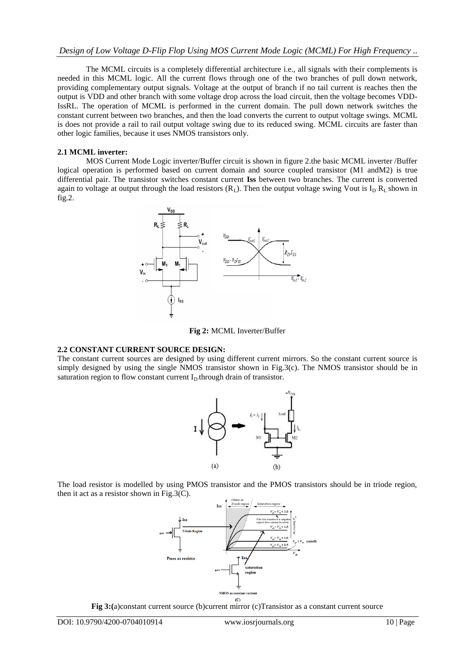The MCML circuits is a completely differential architecture i.e., all signals with their complements is needed in this MCML logic. All the current flows through one of the two branches of pull down network, providing complementary output signals. Voltage at the output of branch if no tail current is reaches then the output is VDD and other branch with some voltage drop across the load circuit, then the voltage becomes VDD-IssRL. The operation of MCML is performed in the current domain. The pull down network switches the constant current between two branches, and then the load converts the current to output voltage swings. MCML is does not provide a rail to rail output voltage swing due to its reduced swing. MCML circuits are faster than other logic families, because it uses NMOS transistors only.

#### **2.1 MCML inverter:**

MOS Current Mode Logic inverter/Buffer circuit is shown in figure 2.the basic MCML inverter /Buffer logical operation is performed based on current domain and source coupled transistor (M1 andM2) is true differential pair. The transistor switches constant current **Iss** between two branches. The current is converted again to voltage at output through the load resistors  $(R_L)$ . Then the output voltage swing Vout is  $I_D R_L$  shown in fig.2.





#### **2.2 CONSTANT CURRENT SOURCE DESIGN:**

The constant current sources are designed by using different current mirrors. So the constant current source is simply designed by using the single NMOS transistor shown in Fig.3(c). The NMOS transistor should be in saturation region to flow constant current  $I<sub>D</sub>$  through drain of transistor.



The load resistor is modelled by using PMOS transistor and the PMOS transistors should be in triode region, then it act as a resistor shown in Fig.3(C).



**Fig 3:(**a)constant current source (b)current mirror (c)Transistor as a constant current source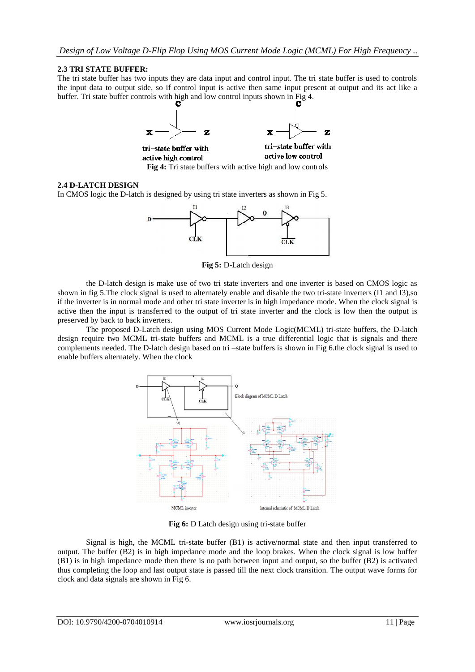## **2.3 TRI STATE BUFFER:**

The tri state buffer has two inputs they are data input and control input. The tri state buffer is used to controls the input data to output side, so if control input is active then same input present at output and its act like a buffer. Tri state buffer controls with high and low control inputs shown in Fig 4.



## **2.4 D-LATCH DESIGN**

In CMOS logic the D-latch is designed by using tri state inverters as shown in Fig 5.



**Fig 5:** D-Latch design

the D-latch design is make use of two tri state inverters and one inverter is based on CMOS logic as shown in fig 5. The clock signal is used to alternately enable and disable the two tri-state inverters (I1 and I3), so if the inverter is in normal mode and other tri state inverter is in high impedance mode. When the clock signal is active then the input is transferred to the output of tri state inverter and the clock is low then the output is preserved by back to back inverters.

The proposed D-Latch design using MOS Current Mode Logic(MCML) tri-state buffers, the D-latch design require two MCML tri-state buffers and MCML is a true differential logic that is signals and there complements needed. The D-latch design based on tri –state buffers is shown in Fig 6.the clock signal is used to enable buffers alternately. When the clock



**Fig 6:** D Latch design using tri-state buffer

Signal is high, the MCML tri-state buffer (B1) is active/normal state and then input transferred to output. The buffer (B2) is in high impedance mode and the loop brakes. When the clock signal is low buffer (B1) is in high impedance mode then there is no path between input and output, so the buffer (B2) is activated thus completing the loop and last output state is passed till the next clock transition. The output wave forms for clock and data signals are shown in Fig 6.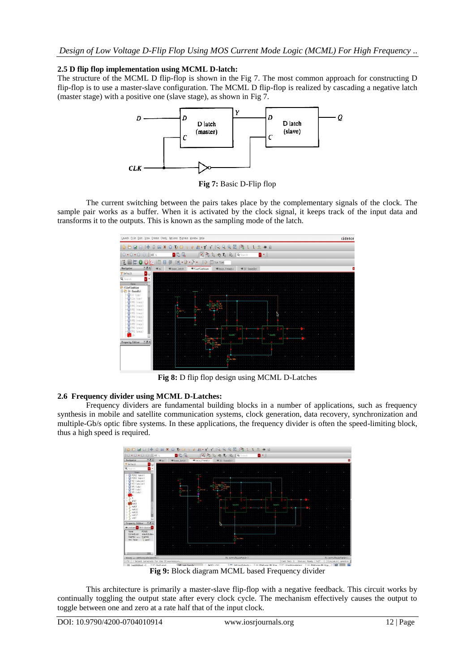# **2.5 D flip flop implementation using MCML D-latch:**

The structure of the MCML D flip-flop is shown in the [Fig 7](http://scialert.net/fulltext/?doi=itj.2014.515.521&org=11#f4). The most common approach for constructing D flip-flop is to use a master-slave configuration. The MCML D flip-flop is realized by cascading a negative latch (master stage) with a positive one (slave stage), as shown in [Fig](http://scialert.net/fulltext/?doi=itj.2014.515.521&org=11#f4) 7.



**Fig 7:** Basic D-Flip flop

The current switching between the pairs takes place by the complementary signals of the clock. The sample pair works as a buffer. When it is activated by the clock signal, it keeps track of the input data and transforms it to the outputs. This is known as the sampling mode of the latch.



**Fig 8:** D flip flop design using MCML D-Latches

# **2.6 Frequency divider using MCML D-Latches:**

Frequency dividers are fundamental building blocks in a number of applications, such as frequency synthesis in mobile and satellite communication systems, clock generation, data recovery, synchronization and multiple-Gb/s optic fibre systems. In these applications, the frequency divider is often the speed-limiting block, thus a high speed is required.



**Fig 9:** Block diagram MCML based Frequency divider

This architecture is primarily a master-slave flip-flop with a negative feedback. This circuit works by continually toggling the output state after every clock cycle. The mechanism effectively causes the output to toggle between one and zero at a rate half that of the input clock.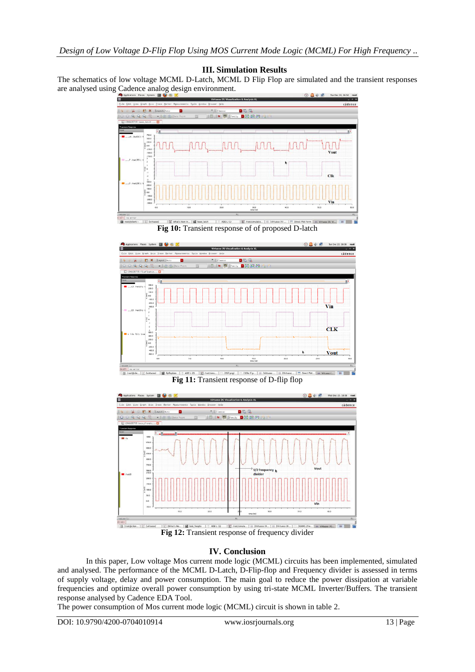## **III. Simulation Results**

The schematics of low voltage MCML D-Latch, MCML D Flip Flop are simulated and the transient responses are analysed using Cadence analog design environment.



**Fig 10:** Transient response of of proposed D-latch



**Fig 11:** Transient response of D-flip flop



# **IV. Conclusion**

In this paper, Low voltage Mos current mode logic (MCML) circuits has been implemented, simulated and analysed. The performance of the MCML D-Latch, D-Flip-flop and Frequency divider is assessed in terms of supply voltage, delay and power consumption. The main goal to reduce the power dissipation at variable frequencies and optimize overall power consumption by using tri-state MCML Inverter/Buffers. The transient response analysed by Cadence EDA Tool.

The power consumption of Mos current mode logic (MCML) circuit is shown in table 2.